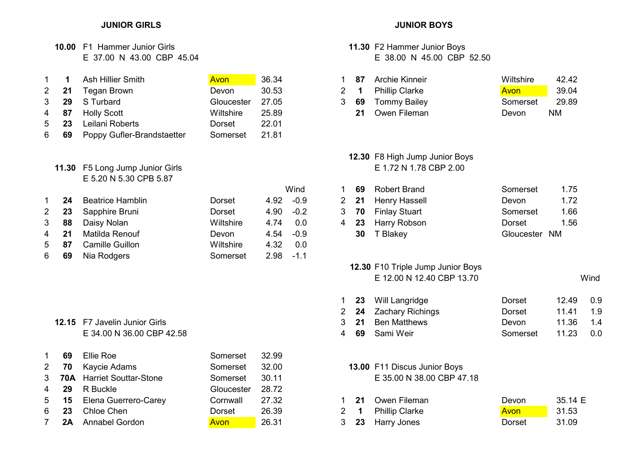# 10.00 F1 Hammer Junior Girls 11.30 F2 Hammer Junior Boys

| $1 \quad 1$ |              | Ash Hillier Smith          | Avon       | 36.34 | 87          | Archie Kinneir        | Wiltshire | 42.42     |
|-------------|--------------|----------------------------|------------|-------|-------------|-----------------------|-----------|-----------|
|             | $2 \quad 21$ | Tegan Brown                | Devon      | 30.53 | $2 \quad 1$ | <b>Phillip Clarke</b> | Avon      | 39.04     |
|             |              | 3 29 S Turbard             | Gloucester | 27.05 | 3 69        | Tommy Bailey          | Somerset  | 29.89     |
|             | 4 87         | Holly Scott                | Wiltshire  | 25.89 | 21          | Owen Fileman          | Devon     | <b>NM</b> |
|             | $5\quad 23$  | Leilani Roberts            | Dorset     | 22.01 |             |                       |           |           |
|             | 6 69         | Poppy Gufler-Brandstaetter | Somerset   | 21.81 |             |                       |           |           |

## 11.30 F5 Long Jump Junior Girls E 5.20 N 5.30 CPB 5.87

|                  |      |                         |           |              |     |              | <b>INUDULL DIGINI</b> | uunnu juu     | .    |
|------------------|------|-------------------------|-----------|--------------|-----|--------------|-----------------------|---------------|------|
|                  | 24   | <b>Beatrice Hamblin</b> | Dorset    | $4.92 -0.9$  |     | $2 \quad 21$ | Henry Hassell         | Devon         | 1.72 |
| $2 \overline{ }$ |      | 23 Sapphire Bruni       | Dorset    | $4.90 -0.2$  |     | 3 70         | Finlay Stuart         | Somerset      | 1.66 |
| 3 <sup>1</sup>   | 88   | Daisy Nolan             | Wiltshire | 4.74         | 0.0 | 23           | Harry Robson          | Dorset        | 1.56 |
|                  | 4 21 | Matilda Renouf          | Devon     | $4.54 -0.9$  |     | 30           | T Blakey              | Gloucester NM |      |
|                  | 5 87 | <b>Camille Guillon</b>  | Wiltshire | 4.32         | 0.0 |              |                       |               |      |
| 6                | 69   | Nia Rodgers             | Somerset  | $2.98 - 1.1$ |     |              |                       |               |      |
|                  |      |                         |           |              |     |              |                       |               |      |

## 12.15 F7 Javelin Junior Girls 3 E 34.00 N 36.00 CBP 42.58 4

|   | 69   | Ellie Roe                   | Somerset         | 32.99 |             |                              |        |         |
|---|------|-----------------------------|------------------|-------|-------------|------------------------------|--------|---------|
|   | 2 70 | Kaycie Adams                | Somerset         | 32.00 |             | 13.00 F11 Discus Junior Boys |        |         |
|   |      | 3 70A Harriet Souttar-Stone | Somerset         | 30.11 |             | E 35.00 N 38.00 CBP 47.18    |        |         |
|   |      | 4 29 R Buckle               | Gloucester 28.72 |       |             |                              |        |         |
|   |      | 5 15 Elena Guerrero-Carey   | Cornwall         | 27.32 | -21         | Owen Fileman                 | Devon  | 35.14 E |
| 6 | 23   | Chloe Chen                  | Dorset           | 26.39 | $2 \quad 1$ | <b>Phillip Clarke</b>        | Avon   | 31.53   |
| 7 | 2A   | <b>Annabel Gordon</b>       | <b>Avon</b>      | 26.31 | $3\quad 23$ | Harry Jones                  | Dorset | 31.09   |

## JUNIOR GIRLS JUNIOR BOYS

# E 37.00 N 43.00 CBP 45.04 E 38.00 N 45.00 CBP 52.50

|      | Ash Hillier Smith  | <b>Avon</b>      | 36.34 |    | 87 Archie Kinneir  | Wiltshire | 42.42 |
|------|--------------------|------------------|-------|----|--------------------|-----------|-------|
|      | 2 21 Tegan Brown   | Devon            | 30.53 |    | 2 1 Phillip Clarke | Avon      | 39.04 |
|      | 3 29 S Turbard     | Gloucester 27.05 |       |    | 3 69 Tommy Bailey  | Somerset  | 29.89 |
| 4 87 | <b>Holly Scott</b> | Wiltshire        | 25.89 | 21 | Owen Fileman       | Devon     | NM    |

# **12.30 F8 High Jump Junior Boys**<br>E 1.72 N 1.78 CBP 2.00

| Wind   | 69 | Robert Brand       | Somerset      | 1.75 |
|--------|----|--------------------|---------------|------|
| $-0.9$ |    | 2 21 Henry Hassell | Devon         | 1.72 |
| $-0.2$ |    | 3 70 Finlay Stuart | Somerset      | 1.66 |
| 0.0    |    | 4 23 Harry Robson  | Dorset        | 1.56 |
| -0.9   |    | 30 T Blakey        | Gloucester NM |      |

# 12.30 F10 Triple Jump Junior Boys E 12.00 N 12.40 CBP 13.70 Wind

|  | 1 23 Will Langridge   | Dorset   | $12.49$ 0.9 |  |
|--|-----------------------|----------|-------------|--|
|  | 2 24 Zachary Richings | Dorset   | 1141 19     |  |
|  | 3 21 Ben Matthews     | Devon    | 11.36 1.4   |  |
|  | 4 <b>69</b> Sami Weir | Somerset | 11.23 0.0   |  |

## 13.00 F11 Discus Junior Boys E 35.00 N 38.00 CBP 47.18

|  | 5 15 Elena Guerrero-Carey | Cornwall | 27.32 |  | 21 Owen Fileman    | Devon  | 35.14 E |
|--|---------------------------|----------|-------|--|--------------------|--------|---------|
|  | 6 23 Chloe Chen           | Dorset   | 26.39 |  | 2 1 Phillip Clarke | Avon   | 31.53   |
|  | <b>2A</b> Annabel Gordon  | Avon     | 26.31 |  | 3 23 Harry Jones   | Dorset | 31.09   |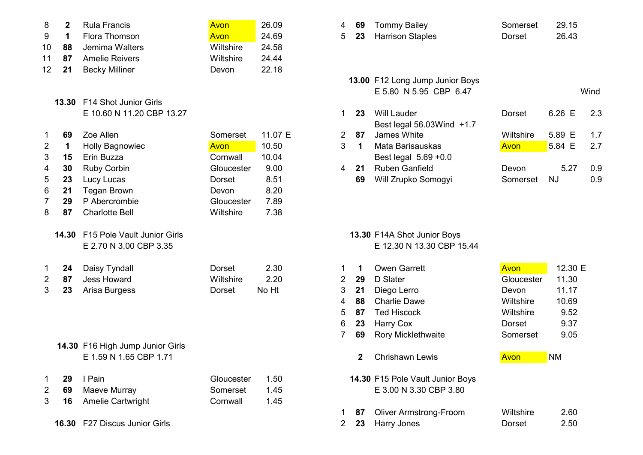|                  | $\overline{2}$ | Rula Francis          | <b>Avon</b> | 26.09 | 4 |    | 69 Tommy Bailey         | Somerset | 29.15 |
|------------------|----------------|-----------------------|-------------|-------|---|----|-------------------------|----------|-------|
|                  |                | Flora Thomson         | Avon        | 24.69 | 5 | 23 | <b>Harrison Staples</b> | Dorset   | 26.43 |
| 10               | 88             | Jemima Walters        | Wiltshire   | 24.58 |   |    |                         |          |       |
|                  | 87             | <b>Amelie Reivers</b> | Wiltshire   | 24.44 |   |    |                         |          |       |
| 12 <sup>12</sup> | 21             | Becky Milliner        | Devon       | 22.18 |   |    |                         |          |       |
|                  |                |                       |             |       |   |    | $\overline{18.88.71}$   |          |       |

## 13.30 F14 Shot Junior Girls E 10.60 N 11.20 CBP 13.27

| 1              | 69    | Zoe Allen                        | Somerset   | 11.07 E | 2 | 87           | James White                      | Wiltshire   | 5.89 E    |  |
|----------------|-------|----------------------------------|------------|---------|---|--------------|----------------------------------|-------------|-----------|--|
| 2              | 1     | Holly Bagnowiec                  | Avon       | 10.50   | 3 | 1            | Mata Barisauskas                 | Avon        | 5.84 E    |  |
| 3              | 15    | Erin Buzza                       | Cornwall   | 10.04   |   |              | Best legal 5.69 +0.0             |             |           |  |
| 4              | 30    | <b>Ruby Corbin</b>               | Gloucester | 9.00    | 4 | 21           | <b>Ruben Ganfield</b>            | Devon       | 5.27      |  |
| 5              | 23    | Lucy Lucas                       | Dorset     | 8.51    |   | 69           | Will Zrupko Somogyi              | Somerset    | <b>NJ</b> |  |
| 6              | 21    | <b>Tegan Brown</b>               | Devon      | 8.20    |   |              |                                  |             |           |  |
| $\overline{7}$ | 29    | P Abercrombie                    | Gloucester | 7.89    |   |              |                                  |             |           |  |
| 8              | 87    | <b>Charlotte Bell</b>            | Wiltshire  | 7.38    |   |              |                                  |             |           |  |
|                | 14.30 | F15 Pole Vault Junior Girls      |            |         |   |              | 13.30 F14A Shot Junior Boys      |             |           |  |
|                |       | E 2.70 N 3.00 CBP 3.35           |            |         |   |              | E 12.30 N 13.30 CBP 15.44        |             |           |  |
| $\mathbf 1$    | 24    | Daisy Tyndall                    | Dorset     | 2.30    |   | 1            | <b>Owen Garrett</b>              | <b>Avon</b> | 12.30 E   |  |
| 2              | 87    | <b>Jess Howard</b>               | Wiltshire  | 2.20    | 2 | 29           | D Slater                         | Gloucester  | 11.30     |  |
| 3              | 23    | Arisa Burgess                    | Dorset     | No Ht   | 3 | 21           | Diego Lerro                      | Devon       | 11.17     |  |
|                |       |                                  |            |         | 4 | 88           | <b>Charlie Dawe</b>              | Wiltshire   | 10.69     |  |
|                |       |                                  |            |         | 5 | 87           | <b>Ted Hiscock</b>               | Wiltshire   | 9.52      |  |
|                |       |                                  |            |         | 6 | 23           | Harry Cox                        | Dorset      | 9.37      |  |
|                |       |                                  |            |         |   | 69           | Rory Micklethwaite               | Somerset    | 9.05      |  |
|                |       | 14.30 F16 High Jump Junior Girls |            |         |   |              |                                  |             |           |  |
|                |       | E 1.59 N 1.65 CBP 1.71           |            |         |   | $\mathbf{2}$ | <b>Chrishawn Lewis</b>           | Avon        | <b>NM</b> |  |
| 1              | 29    | I Pain                           | Gloucester | 1.50    |   |              | 14.30 F15 Pole Vault Junior Boys |             |           |  |
| 2              | 69    | Maeve Murray                     | Somerset   | 1.45    |   |              | E 3.00 N 3.30 CBP 3.80           |             |           |  |
| 3              | 16    | <b>Amelie Cartwright</b>         | Cornwall   | 1.45    |   |              |                                  |             |           |  |

16.30 F27 Discus Junior Girls **2 20 Access 12 23** Harry Jones 2 23 Dorset 2.50

| Õ.             |    | Ruia Francis                | AVON       | 20.UY   | 4 | ່ຽງ | <b>TOMMIN Balley</b>            | Somerset  | 29. IO |      |
|----------------|----|-----------------------------|------------|---------|---|-----|---------------------------------|-----------|--------|------|
| 9              |    | Flora Thomson               | Avon       | 24.69   | 5 | 23  | <b>Harrison Staples</b>         | Dorset    | 26.43  |      |
| 10             | 88 | Jemima Walters              | Wiltshire  | 24.58   |   |     |                                 |           |        |      |
|                | 87 | <b>Amelie Reivers</b>       | Wiltshire  | 24.44   |   |     |                                 |           |        |      |
| $\overline{2}$ | 21 | <b>Becky Milliner</b>       | Devon      | 22.18   |   |     |                                 |           |        |      |
|                |    |                             |            |         |   |     | 13.00 F12 Long Jump Junior Boys |           |        |      |
|                |    |                             |            |         |   |     | E 5.80 N 5.95 CBP 6.47          |           |        | Wind |
|                |    | 13.30 F14 Shot Junior Girls |            |         |   |     |                                 |           |        |      |
|                |    | E 10.60 N 11.20 CBP 13.27   |            |         |   | 23  | <b>Will Lauder</b>              | Dorset    | 6.26 E | 2.3  |
|                |    |                             |            |         |   |     | Best legal $56.03$ Wind $+1.7$  |           |        |      |
|                | 69 | Zoe Allen                   | Somerset   | 11.07 E | 2 | 87  | James White                     | Wiltshire | 5.89 E | 1.7  |
| 2              |    | <b>Holly Bagnowiec</b>      | Avon       | 10.50   | 3 | 1   | Mata Barisauskas                | Avon      | 5.84 E | 2.7  |
| 3.             | 15 | Erin Buzza                  | Cornwall   | 10.04   |   |     | Best legal 5.69 +0.0            |           |        |      |
| 4              | 30 | <b>Ruby Corbin</b>          | Gloucester | 9.00    | 4 | 21  | <b>Ruben Ganfield</b>           | Devon     | 5.27   | 0.9  |
| 5              | 23 | Lucy Lucas                  | Dorset     | 8.51    |   | 69  | Will Zrupko Somogyi             | Somerset  | NJ     | 0.9  |
|                |    |                             |            |         |   |     |                                 |           |        |      |

## 13.30 F14A Shot Junior Boys E 12.30 N 13.30 CBP 15.44

| Daisy Tyndall              | <b>Dorset</b> | 2.30  |                |    | <b>Owen Garrett</b>              | Avon       | 12.30 E   |
|----------------------------|---------------|-------|----------------|----|----------------------------------|------------|-----------|
| <b>Jess Howard</b>         | Wiltshire     | 2.20  | $\overline{2}$ | 29 | D Slater                         | Gloucester | 11.30     |
| Arisa Burgess              | Dorset        | No Ht | 3              | 21 | Diego Lerro                      | Devon      | 11.17     |
|                            |               |       | 4              | 88 | <b>Charlie Dawe</b>              | Wiltshire  | 10.69     |
|                            |               |       | 5.             | 87 | <b>Ted Hiscock</b>               | Wiltshire  | 9.52      |
|                            |               |       | 6              | 23 | Harry Cox                        | Dorset     | 9.37      |
|                            |               |       |                | 69 | <b>Rory Micklethwaite</b>        | Somerset   | 9.05      |
| F16 High Jump Junior Girls |               |       |                |    |                                  |            |           |
| E 1.59 N 1.65 CBP 1.71     |               |       |                |    | <b>Chrishawn Lewis</b>           | Avon       | <b>NM</b> |
| I Pain                     | Gloucester    | 1.50  |                |    | 14.30 F15 Pole Vault Junior Boys |            |           |
| Maeve Murray               | Somerset      | 1.45  |                |    | E 3.00 N 3.30 CBP 3.80           |            |           |
| Amelie Cartwright          | Cornwall      | 1.45  |                |    |                                  |            |           |
|                            |               |       |                | 87 | <b>Oliver Armstrong-Froom</b>    | Wiltshire  | 2.60      |
|                            |               |       |                |    |                                  |            |           |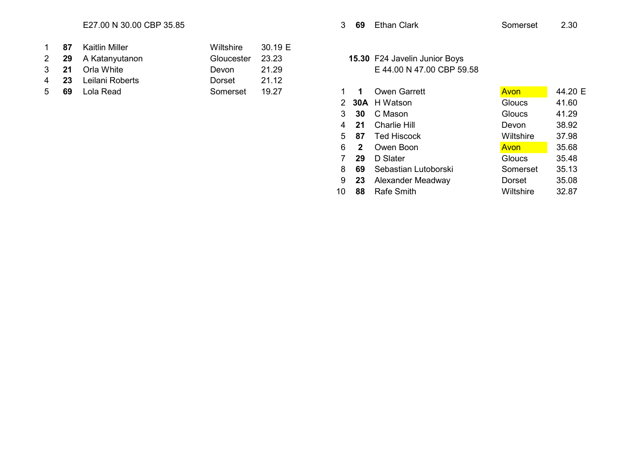## E27.00 N 30.00 CBP 35.85 3 69 Ethan Clark Somerset 2.30

|  | 1 87 Kaitlin Miller  | Wiltshire $30.19 \mathrm{E}$ |       |
|--|----------------------|------------------------------|-------|
|  | 2 29 A Katanyutanon  | Gloucester 23.23             |       |
|  | 3 21 Orla White      | Devon                        | 21.29 |
|  | 4 23 Leilani Roberts | Dorset                       | 21 12 |
|  | 5 69 Lola Read       | Somercet 10.27               |       |

## 15.30 F24 Javelin Junior Boys E 44.00 N 47.00 CBP 59.58

| 5 | 69 | Lola Read | Somerset | 19.27 |    |                | <b>Owen Garrett</b>  | Avon          | 44.20 E |
|---|----|-----------|----------|-------|----|----------------|----------------------|---------------|---------|
|   |    |           |          |       |    |                | 2 30A H Watson       | Gloucs        | 41.60   |
|   |    |           |          |       | 3  | 30             | C Mason              | Gloucs        | 41.29   |
|   |    |           |          |       |    | 4 21           | <b>Charlie Hill</b>  | Devon         | 38.92   |
|   |    |           |          |       | 5  | -87            | <b>Ted Hiscock</b>   | Wiltshire     | 37.98   |
|   |    |           |          |       | 6  | $\overline{2}$ | Owen Boon            | Avon          | 35.68   |
|   |    |           |          |       |    | 29             | D Slater             | <b>Gloucs</b> | 35.48   |
|   |    |           |          |       | 8  | 69             | Sebastian Lutoborski | Somerset      | 35.13   |
|   |    |           |          |       | 9  | 23             | Alexander Meadway    | Dorset        | 35.08   |
|   |    |           |          |       | 10 | 88             | <b>Rafe Smith</b>    | Wiltshire     | 32.87   |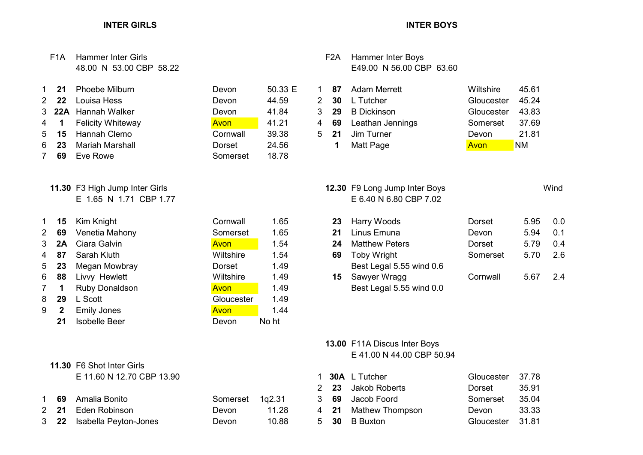# F1A Hammer Inter Girls F1A Hammer Inter Boys

# 5 15 Hannah Clemo Cornwall 39.38 5 6 23 Mariah Marshall **Dorset** 24.56 7 69 Eve Rowe Somerset 18.78

## 11.30 F3 High Jump Inter Girls Wind<br>E 1.65 N 1.71 CBP 1.77 E 6.40 N 6.80 CBP 7.02 E 1.65 N 1.71 CBP 1.77

| 1               | 15              | Kim Knight               | Cornwall   | 1.65 | 23 | Harry Woods              |
|-----------------|-----------------|--------------------------|------------|------|----|--------------------------|
| $2^{\circ}$     | 69              | Venetia Mahony           | Somerset   | 1.65 | 21 | Linus Emuna              |
|                 |                 | 3 <b>2A</b> Ciara Galvin | Avon       | 1.54 | 24 | <b>Matthew Peters</b>    |
|                 | 4 87            | Sarah Kluth              | Wiltshire  | 1.54 | 69 | <b>Toby Wright</b>       |
|                 | 5 <sub>23</sub> | Megan Mowbray            | Dorset     | 1.49 |    | Best Legal 5.55 wind 0.6 |
|                 | 6 88            | Livvy Hewlett            | Wiltshire  | 1.49 | 15 | Sawyer Wragg             |
| $7\overline{ }$ | $\mathbf 1$     | Ruby Donaldson           | Avon       | 1.49 |    | Best Legal 5.55 wind 0.0 |
| 8               | 29              | L Scott                  | Gloucester | 1.49 |    |                          |
| 9               | $\mathbf{2}$    | <b>Emily Jones</b>       | Avon       | 1.44 |    |                          |

21 Isobelle Beer Devon No ht

## 11.30 F6 Shot Inter Girls

E 11.60 N 12.70 CBP 13.90 1 30A L Tutcher 37.78 20

## 1 69 Amalia Bonito Somerset 1q2.31 3 2 21 Eden Robinson **Devon** 11.28 4 21 Mathew Thompson Devon 33.33 3 22 Isabella Peyton-Jones Devon 10.88 5

# Gloucester 1.49

# 48.00 N 53.00 CBP 58.22 E49.00 N 56.00 CBP 63.60

| $1 \quad 21$ | Phoebe Milburn        | Devon    | 50.33 E |             | 87 | Adam Merrett     | Wiltshire  | 45.61     |
|--------------|-----------------------|----------|---------|-------------|----|------------------|------------|-----------|
| $2 \quad 22$ | Louisa Hess           | Devon    | 44.59   | $2 \, 30$   |    | L Tutcher        | Gloucester | 45.24     |
|              | 3 22A Hannah Walker   | Devon    | 41.84   | 3 29        |    | B Dickinson      | Gloucester | 43.83     |
|              | 4 1 Felicity Whiteway | Avon     | 41.21   | 4 69        |    | Leathan Jennings | Somerset   | 37.69     |
|              | 5 15 Hannah Clemo     | Cornwall | 39.38   | $5\quad 21$ |    | Jim Turner       | Devon      | 21.81     |
| 6 23         | Mariah Marshall       | Dorset   | 24.56   |             |    | Matt Page        | Avon       | <b>NM</b> |

| $1$ 15      | Kim Knight            | Cornwall    | 1.65 |    | 23 Harry Woods           | Dorset   | 5.95 | 0.0 |
|-------------|-----------------------|-------------|------|----|--------------------------|----------|------|-----|
| 2 69        | Venetia Mahony        | Somerset    | 1.65 | 21 | Linus Emuna              | Devon    | 5.94 | 0.1 |
| 3 <b>2A</b> | Ciara Galvin          | Avon        | 1.54 | 24 | <b>Matthew Peters</b>    | Dorset   | 5.79 | 0.4 |
| 487         | Sarah Kluth           | Wiltshire   | 1.54 | 69 | <b>Toby Wright</b>       | Somerset | 5.70 | 2.6 |
| $5$ 23      | Megan Mowbray         | Dorset      | 1.49 |    | Best Legal 5.55 wind 0.6 |          |      |     |
| 6 88        | Livvy Hewlett         | Wiltshire   | 1.49 |    | <b>15</b> Sawyer Wragg   | Cornwall | 5.67 | 2.4 |
|             | <b>Ruby Donaldson</b> | <b>Avon</b> | 1 49 |    | Best Legal 5.55 wind 0.0 |          |      |     |

## 13.00 F11A Discus Inter Boys E 41.00 N 44.00 CBP 50.94

|  | 1 30A L Tutcher         | Gloucester 37.78 |       |
|--|-------------------------|------------------|-------|
|  | 2 23 Jakob Roberts      | Dorset           | 35.91 |
|  | 3 <b>69</b> Jacob Foord | Somerset         | 35.04 |
|  | 4 21 Mathew Thompson    | Devon            | 33.33 |
|  | 5 30 B Buxton           | Gloucester 31.81 |       |

## INTER GIRLS INTER BOYS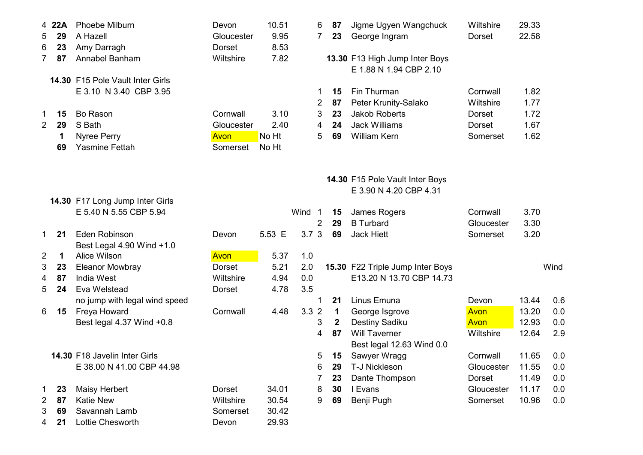|                | 4 22A | Phoebe Milburn                            | Devon      | 10.51  |                  | 6              | 87               | Jigme Ugyen Wangchuck                                    | Wiltshire     | 29.33 |      |
|----------------|-------|-------------------------------------------|------------|--------|------------------|----------------|------------------|----------------------------------------------------------|---------------|-------|------|
| 5              | 29    | A Hazell                                  | Gloucester | 9.95   |                  | $\overline{7}$ | 23               | George Ingram                                            | Dorset        | 22.58 |      |
| 6              | 23    | Amy Darragh                               | Dorset     | 8.53   |                  |                |                  |                                                          |               |       |      |
| $\overline{7}$ | 87    | Annabel Banham                            | Wiltshire  | 7.82   |                  |                |                  | 13.30 F13 High Jump Inter Boys<br>E 1.88 N 1.94 CBP 2.10 |               |       |      |
|                |       | 14.30 F15 Pole Vault Inter Girls          |            |        |                  |                |                  |                                                          |               |       |      |
|                |       | E 3.10 N 3.40 CBP 3.95                    |            |        |                  | 1              | 15               | Fin Thurman                                              | Cornwall      | 1.82  |      |
|                |       |                                           |            |        |                  | 2              | 87               | Peter Krunity-Salako                                     | Wiltshire     | 1.77  |      |
| 1              | 15    | <b>Bo Rason</b>                           | Cornwall   | 3.10   |                  | 3              | 23               | <b>Jakob Roberts</b>                                     | <b>Dorset</b> | 1.72  |      |
| $\overline{2}$ | 29    | S Bath                                    | Gloucester | 2.40   |                  | 4              | 24               | <b>Jack Williams</b>                                     | <b>Dorset</b> | 1.67  |      |
|                | 1     | Nyree Perry                               | Avon       | No Ht  |                  | 5              | 69               | <b>William Kern</b>                                      | Somerset      | 1.62  |      |
|                | 69    | <b>Yasmine Fettah</b>                     | Somerset   | No Ht  |                  |                |                  |                                                          |               |       |      |
|                |       |                                           |            |        |                  |                |                  |                                                          |               |       |      |
|                |       |                                           |            |        |                  |                |                  | 14.30 F15 Pole Vault Inter Boys                          |               |       |      |
|                |       |                                           |            |        |                  |                |                  | E 3.90 N 4.20 CBP 4.31                                   |               |       |      |
|                |       | 14.30 F17 Long Jump Inter Girls           |            |        |                  |                |                  |                                                          | Cornwall      | 3.70  |      |
|                |       | E 5.40 N 5.55 CBP 5.94                    |            |        | Wind 1           |                | 15<br>29         | James Rogers<br><b>B</b> Turbard                         |               | 3.30  |      |
|                | 21    | Eden Robinson                             |            | 5.53 E | 3.7 <sub>3</sub> | 2              | 69               | <b>Jack Hiett</b>                                        | Gloucester    | 3.20  |      |
| 1.             |       |                                           | Devon      |        |                  |                |                  |                                                          | Somerset      |       |      |
| 2              | 1     | Best Legal 4.90 Wind +1.0<br>Alice Wilson | Avon       | 5.37   | 1.0              |                |                  |                                                          |               |       |      |
| 3              | 23    | <b>Eleanor Mowbray</b>                    | Dorset     | 5.21   | 2.0              |                |                  | 15.30 F22 Triple Jump Inter Boys                         |               |       | Wind |
| 4              | 87    | <b>India West</b>                         | Wiltshire  | 4.94   | 0.0              |                |                  | E13.20 N 13.70 CBP 14.73                                 |               |       |      |
| 5              | 24    | Eva Welstead                              | Dorset     | 4.78   | 3.5              |                |                  |                                                          |               |       |      |
|                |       | no jump with legal wind speed             |            |        |                  |                | 21               | Linus Emuna                                              | Devon         | 13.44 | 0.6  |
| 6              | 15    | Freya Howard                              | Cornwall   | 4.48   | 3.32             |                | $\mathbf 1$      | George Isgrove                                           | Avon          | 13.20 | 0.0  |
|                |       | Best legal 4.37 Wind +0.8                 |            |        |                  | 3              | $\boldsymbol{2}$ | Destiny Sadiku                                           | Avon          | 12.93 | 0.0  |
|                |       |                                           |            |        |                  | 4              | 87               | <b>Will Taverner</b>                                     | Wiltshire     | 12.64 | 2.9  |
|                |       |                                           |            |        |                  |                |                  | Best legal 12.63 Wind 0.0                                |               |       |      |
|                |       | 14.30 F18 Javelin Inter Girls             |            |        |                  | 5              | 15               | Sawyer Wragg                                             | Cornwall      | 11.65 | 0.0  |
|                |       | E 38.00 N 41.00 CBP 44.98                 |            |        |                  | 6              | 29               | T-J Nickleson                                            | Gloucester    | 11.55 | 0.0  |
|                |       |                                           |            |        |                  | 7              | 23               | Dante Thompson                                           | Dorset        | 11.49 | 0.0  |
| 1              | 23    | <b>Maisy Herbert</b>                      | Dorset     | 34.01  |                  | 8              | 30               | I Evans                                                  | Gloucester    | 11.17 | 0.0  |
| 2              | 87    | <b>Katie New</b>                          | Wiltshire  | 30.54  |                  | 9              | 69               | Benji Pugh                                               | Somerset      | 10.96 | 0.0  |
| 3              | 69    | Savannah Lamb                             | Somerset   | 30.42  |                  |                |                  |                                                          |               |       |      |
| 4              | 21    | Lottie Chesworth                          | Devon      | 29.93  |                  |                |                  |                                                          |               |       |      |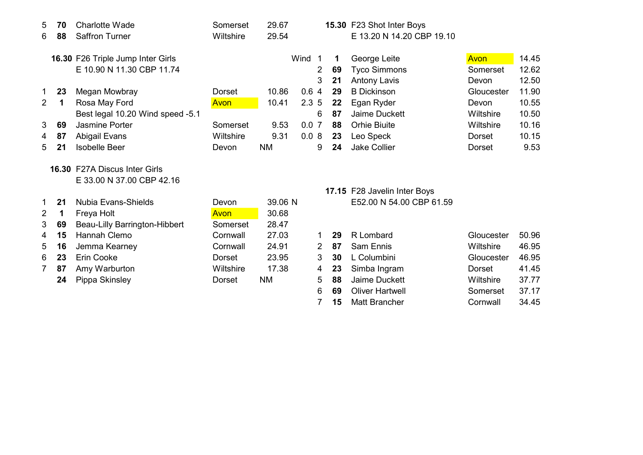| 5              | 70 | <b>Charlotte Wade</b>                | Somerset      | 29.67     |        |                |    | 15.30 F23 Shot Inter Boys    |               |       |
|----------------|----|--------------------------------------|---------------|-----------|--------|----------------|----|------------------------------|---------------|-------|
| 6              | 88 | <b>Saffron Turner</b>                | Wiltshire     | 29.54     |        |                |    | E 13.20 N 14.20 CBP 19.10    |               |       |
|                |    | 16.30 F26 Triple Jump Inter Girls    |               |           | Wind 1 |                | 1  | George Leite                 | <b>Avon</b>   | 14.45 |
|                |    | E 10.90 N 11.30 CBP 11.74            |               |           |        | 2              | 69 |                              | Somerset      | 12.62 |
|                |    |                                      |               |           |        |                |    | <b>Tyco Simmons</b>          |               |       |
|                |    |                                      |               |           |        | 3              | 21 | <b>Antony Lavis</b>          | Devon         | 12.50 |
| 1              | 23 | Megan Mowbray                        | <b>Dorset</b> | 10.86     | 0.64   |                | 29 | <b>B</b> Dickinson           | Gloucester    | 11.90 |
| $\overline{2}$ | 1  | Rosa May Ford                        | Avon          | 10.41     | 2.35   |                | 22 | Egan Ryder                   | Devon         | 10.55 |
|                |    | Best legal 10.20 Wind speed -5.1     |               |           |        | 6              | 87 | Jaime Duckett                | Wiltshire     | 10.50 |
| 3              | 69 | <b>Jasmine Porter</b>                | Somerset      | 9.53      | 0.07   |                | 88 | <b>Orhie Biuite</b>          | Wiltshire     | 10.16 |
| 4              | 87 | Abigail Evans                        | Wiltshire     | 9.31      | 0.08   |                | 23 | Leo Speck                    | <b>Dorset</b> | 10.15 |
| 5              | 21 | <b>Isobelle Beer</b>                 | Devon         | <b>NM</b> |        | 9              | 24 | <b>Jake Collier</b>          | Dorset        | 9.53  |
|                |    |                                      |               |           |        |                |    |                              |               |       |
|                |    | <b>16.30 F27A Discus Inter Girls</b> |               |           |        |                |    |                              |               |       |
|                |    | E 33.00 N 37.00 CBP 42.16            |               |           |        |                |    |                              |               |       |
|                |    |                                      |               |           |        |                |    | 17.15 F28 Javelin Inter Boys |               |       |
| 1              | 21 | <b>Nubia Evans-Shields</b>           | Devon         | 39.06 N   |        |                |    | E52.00 N 54.00 CBP 61.59     |               |       |
| $\overline{2}$ | 1  | Freya Holt                           | Avon          | 30.68     |        |                |    |                              |               |       |
| 3              | 69 | Beau-Lilly Barrington-Hibbert        | Somerset      | 28.47     |        |                |    |                              |               |       |
| 4              | 15 | Hannah Clemo                         | Cornwall      | 27.03     |        | $\mathbf 1$    | 29 | R Lombard                    | Gloucester    | 50.96 |
| 5              | 16 | Jemma Kearney                        | Cornwall      | 24.91     |        | $\overline{2}$ | 87 | <b>Sam Ennis</b>             | Wiltshire     | 46.95 |
| 6              | 23 | Erin Cooke                           | <b>Dorset</b> | 23.95     |        | 3              | 30 | L Columbini                  | Gloucester    | 46.95 |
| $\overline{7}$ | 87 | Amy Warburton                        | Wiltshire     | 17.38     |        | 4              | 23 | Simba Ingram                 | Dorset        | 41.45 |
|                | 24 | Pippa Skinsley                       | Dorset        | <b>NM</b> |        | 5              | 88 | Jaime Duckett                | Wiltshire     | 37.77 |
|                |    |                                      |               |           |        | 6              | 69 | <b>Oliver Hartwell</b>       | Somerset      | 37.17 |
|                |    |                                      |               |           |        | $\overline{7}$ | 15 | <b>Matt Brancher</b>         | Cornwall      | 34.45 |
|                |    |                                      |               |           |        |                |    |                              |               |       |
|                |    |                                      |               |           |        |                |    |                              |               |       |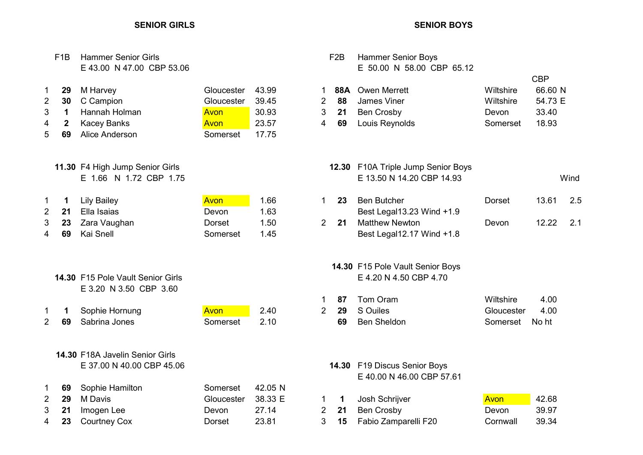|                                     | F1B                                                    | <b>Hammer Senior Girls</b><br>E 43.00 N 47.00 CBP 53.06                        |                                                             |                                           |                               | F <sub>2</sub> B      | <b>Hammer Senior Boys</b><br>E 50.00 N 58.00 CBP 65.12                    |                                             |                                                    |      |
|-------------------------------------|--------------------------------------------------------|--------------------------------------------------------------------------------|-------------------------------------------------------------|-------------------------------------------|-------------------------------|-----------------------|---------------------------------------------------------------------------|---------------------------------------------|----------------------------------------------------|------|
| 1.<br>$\overline{2}$<br>3<br>4<br>5 | 29<br>30<br>$\blacktriangleleft$<br>$\mathbf{2}$<br>69 | M Harvey<br>C Campion<br>Hannah Holman<br><b>Kacey Banks</b><br>Alice Anderson | Gloucester<br>Gloucester<br>Avon<br><b>Avon</b><br>Somerset | 43.99<br>39.45<br>30.93<br>23.57<br>17.75 | 1<br>$\overline{2}$<br>3<br>4 | 88A<br>88<br>21<br>69 | <b>Owen Merrett</b><br>James Viner<br><b>Ben Crosby</b><br>Louis Reynolds | Wiltshire<br>Wiltshire<br>Devon<br>Somerset | <b>CBP</b><br>66.60 N<br>54.73 E<br>33.40<br>18.93 |      |
|                                     |                                                        | 11.30 F4 High Jump Senior Girls<br>E 1.66 N 1.72 CBP 1.75                      |                                                             |                                           |                               |                       | 12.30 F10A Triple Jump Senior Boys<br>E 13.50 N 14.20 CBP 14.93           |                                             |                                                    | Wind |
| 1                                   | 1                                                      | <b>Lily Bailey</b>                                                             | Avon                                                        | 1.66                                      | $\mathbf 1$                   | 23                    | <b>Ben Butcher</b>                                                        | <b>Dorset</b>                               | 13.61                                              | 2.5  |
| $\overline{2}$                      | 21                                                     | Ella Isaias                                                                    | Devon                                                       | 1.63                                      |                               |                       | Best Legal13.23 Wind +1.9                                                 |                                             |                                                    |      |
| 3                                   | 23                                                     | Zara Vaughan                                                                   | <b>Dorset</b>                                               | 1.50                                      | $\overline{2}$                | 21                    | <b>Matthew Newton</b>                                                     | Devon                                       | 12.22                                              | 2.1  |
| 4                                   | 69                                                     | Kai Snell                                                                      | Somerset                                                    | 1.45                                      |                               |                       | Best Legal12.17 Wind +1.8                                                 |                                             |                                                    |      |
|                                     |                                                        | 14.30 F15 Pole Vault Senior Girls<br>E 3.20 N 3.50 CBP 3.60                    |                                                             |                                           |                               |                       | 14.30 F15 Pole Vault Senior Boys<br>E 4.20 N 4.50 CBP 4.70                |                                             |                                                    |      |
|                                     |                                                        |                                                                                |                                                             |                                           | 1                             | 87                    | Tom Oram                                                                  | Wiltshire                                   | 4.00                                               |      |
| 1.                                  | 1                                                      | Sophie Hornung                                                                 | <b>Avon</b>                                                 | 2.40                                      | $\overline{2}$                | 29                    | S Ouiles                                                                  | Gloucester                                  | 4.00                                               |      |
| $\overline{2}$                      | 69                                                     | Sabrina Jones                                                                  | Somerset                                                    | 2.10                                      |                               | 69                    | <b>Ben Sheldon</b>                                                        | Somerset                                    | No ht                                              |      |
|                                     |                                                        | 14.30 F18A Javelin Senior Girls<br>E 37.00 N 40.00 CBP 45.06                   |                                                             |                                           |                               |                       | 14.30 F19 Discus Senior Boys<br>E 40.00 N 46.00 CBP 57.61                 |                                             |                                                    |      |
| 1                                   | 69                                                     | Sophie Hamilton                                                                | Somerset                                                    | 42.05 N                                   |                               |                       |                                                                           |                                             |                                                    |      |
| $\overline{2}$                      | 29                                                     | M Davis                                                                        | Gloucester                                                  | 38.33 E                                   | 1                             | $\mathbf 1$           | Josh Schrijver                                                            | Avon                                        | 42.68                                              |      |
| 3                                   | 21                                                     | Imogen Lee                                                                     | Devon                                                       | 27.14                                     | $\overline{2}$                | 21                    | <b>Ben Crosby</b>                                                         | Devon                                       | 39.97                                              |      |
| 4                                   | 23                                                     | <b>Courtney Cox</b>                                                            | <b>Dorset</b>                                               | 23.81                                     | 3                             | 15                    | Fabio Zamparelli F20                                                      | Cornwall                                    | 39.34                                              |      |
|                                     |                                                        |                                                                                |                                                             |                                           |                               |                       |                                                                           |                                             |                                                    |      |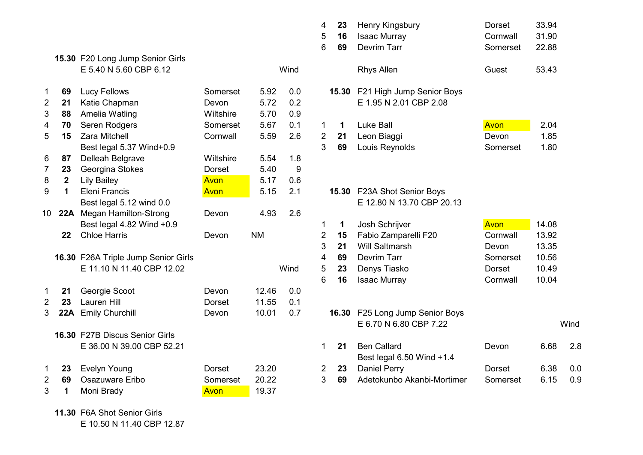|                |                  |                                     |               |           |      | 5              | 16          | <b>Isaac Murray</b>         | Cornwall      | 31.90 |
|----------------|------------------|-------------------------------------|---------------|-----------|------|----------------|-------------|-----------------------------|---------------|-------|
|                |                  |                                     |               |           |      | 6              | 69          | <b>Devrim Tarr</b>          | Somerset      | 22.88 |
|                |                  | 15.30 F20 Long Jump Senior Girls    |               |           |      |                |             |                             |               |       |
|                |                  | E 5.40 N 5.60 CBP 6.12              |               |           | Wind |                |             | <b>Rhys Allen</b>           | Guest         | 53.43 |
| 1              | 69               | Lucy Fellows                        | Somerset      | 5.92      | 0.0  |                | 15.30       | F21 High Jump Senior Boys   |               |       |
| $\overline{2}$ | 21               | Katie Chapman                       | Devon         | 5.72      | 0.2  |                |             | E 1.95 N 2.01 CBP 2.08      |               |       |
| 3              | 88               | Amelia Watling                      | Wiltshire     | 5.70      | 0.9  |                |             |                             |               |       |
| 4              | 70               | Seren Rodgers                       | Somerset      | 5.67      | 0.1  | 1              | $\mathbf 1$ | <b>Luke Ball</b>            | Avon          | 2.04  |
| 5              | 15               | <b>Zara Mitchell</b>                | Cornwall      | 5.59      | 2.6  | $\overline{2}$ | 21          | Leon Biaggi                 | Devon         | 1.85  |
|                |                  | Best legal 5.37 Wind+0.9            |               |           |      | 3              | 69          | Louis Reynolds              | Somerset      | 1.80  |
| 6              | 87               | Delleah Belgrave                    | Wiltshire     | 5.54      | 1.8  |                |             |                             |               |       |
| 7              | 23               | Georgina Stokes                     | <b>Dorset</b> | 5.40      | 9    |                |             |                             |               |       |
| 8              | $\boldsymbol{2}$ | <b>Lily Bailey</b>                  | Avon          | 5.17      | 0.6  |                |             |                             |               |       |
| 9              | $\mathbf 1$      | Eleni Francis                       | Avon          | 5.15      | 2.1  |                |             | 15.30 F23A Shot Senior Boys |               |       |
|                |                  | Best legal 5.12 wind 0.0            |               |           |      |                |             | E 12.80 N 13.70 CBP 20.13   |               |       |
| 10             | 22A              | <b>Megan Hamilton-Strong</b>        | Devon         | 4.93      | 2.6  |                |             |                             |               |       |
|                |                  | Best legal 4.82 Wind +0.9           |               |           |      | 1              | $\mathbf 1$ | Josh Schrijver              | Avon          | 14.08 |
|                | 22               | <b>Chloe Harris</b>                 | Devon         | <b>NM</b> |      | $\overline{2}$ | 15          | Fabio Zamparelli F20        | Cornwall      | 13.92 |
|                |                  |                                     |               |           |      | 3              | 21          | <b>Will Saltmarsh</b>       | Devon         | 13.35 |
|                |                  | 16.30 F26A Triple Jump Senior Girls |               |           |      | 4              | 69          | <b>Devrim Tarr</b>          | Somerset      | 10.56 |
|                |                  | E 11.10 N 11.40 CBP 12.02           |               |           | Wind | $\sqrt{5}$     | 23          | Denys Tiasko                | <b>Dorset</b> | 10.49 |
|                |                  |                                     |               |           |      | 6              | 16          | <b>Isaac Murray</b>         | Cornwall      | 10.04 |
| 1              | 21               | Georgie Scoot                       | Devon         | 12.46     | 0.0  |                |             |                             |               |       |
| 2              | 23               | Lauren Hill                         | Dorset        | 11.55     | 0.1  |                |             |                             |               |       |
| 3              | 22A              | <b>Emily Churchill</b>              | Devon         | 10.01     | 0.7  |                | 16.30       | F25 Long Jump Senior Boys   |               |       |
|                |                  |                                     |               |           |      |                |             | E 6.70 N 6.80 CBP 7.22      |               |       |
|                |                  | 16.30 F27B Discus Senior Girls      |               |           |      |                |             |                             |               |       |
|                |                  | E 36.00 N 39.00 CBP 52.21           |               |           |      | 1              | 21          | <b>Ben Callard</b>          | Devon         | 6.68  |
|                |                  |                                     |               |           |      |                |             | Best legal 6.50 Wind +1.4   |               |       |
| 1              | 23               | <b>Evelyn Young</b>                 | <b>Dorset</b> | 23.20     |      | 2              | 23          | <b>Daniel Perry</b>         | <b>Dorset</b> | 6.38  |
| $\overline{2}$ | 69               | Osazuware Eribo                     | Somerset      | 20.22     |      | 3              | 69          | Adetokunbo Akanbi-Mortimer  | Somerset      | 6.15  |
| 3              | 1                | Moni Brady                          | Avon          | 19.37     |      |                |             |                             |               |       |
|                |                  |                                     |               |           |      |                |             |                             |               |       |

|                |                  |                                     |               |           |      | 4              | 23          | Henry Kingsbury            | Dorset        | 33.94 |      |
|----------------|------------------|-------------------------------------|---------------|-----------|------|----------------|-------------|----------------------------|---------------|-------|------|
|                |                  |                                     |               |           |      | 5              | 16          | <b>Isaac Murray</b>        | Cornwall      | 31.90 |      |
|                |                  |                                     |               |           |      | 6              | 69          | <b>Devrim Tarr</b>         | Somerset      | 22.88 |      |
|                |                  | 15.30 F20 Long Jump Senior Girls    |               |           |      |                |             |                            |               |       |      |
|                |                  | E 5.40 N 5.60 CBP 6.12              |               |           | Wind |                |             | <b>Rhys Allen</b>          | Guest         | 53.43 |      |
| 1              | 69               | <b>Lucy Fellows</b>                 | Somerset      | 5.92      | 0.0  |                | 15.30       | F21 High Jump Senior Boys  |               |       |      |
| $\mathbf 2$    | 21               | Katie Chapman                       | Devon         | 5.72      | 0.2  |                |             | E 1.95 N 2.01 CBP 2.08     |               |       |      |
| 3              | 88               | Amelia Watling                      | Wiltshire     | 5.70      | 0.9  |                |             |                            |               |       |      |
| 4              | 70               | Seren Rodgers                       | Somerset      | 5.67      | 0.1  | $\mathbf 1$    | 1           | <b>Luke Ball</b>           | Avon          | 2.04  |      |
| 5              | 15               | <b>Zara Mitchell</b>                | Cornwall      | 5.59      | 2.6  | $\overline{2}$ | 21          | Leon Biaggi                | Devon         | 1.85  |      |
|                |                  | Best legal 5.37 Wind+0.9            |               |           |      | 3              | 69          | Louis Reynolds             | Somerset      | 1.80  |      |
| 6              | 87               | Delleah Belgrave                    | Wiltshire     | 5.54      | 1.8  |                |             |                            |               |       |      |
| 7              | 23               | Georgina Stokes                     | Dorset        | 5.40      | 9    |                |             |                            |               |       |      |
| 8              | $\boldsymbol{2}$ | <b>Lily Bailey</b>                  | Avon          | 5.17      | 0.6  |                |             |                            |               |       |      |
| 9              | 1                | <b>Eleni Francis</b>                | Avon          | 5.15      | 2.1  |                | 15.30       | F23A Shot Senior Boys      |               |       |      |
|                |                  | Best legal 5.12 wind 0.0            |               |           |      |                |             | E 12.80 N 13.70 CBP 20.13  |               |       |      |
| 10             | 22A              | <b>Megan Hamilton-Strong</b>        | Devon         | 4.93      | 2.6  |                |             |                            |               |       |      |
|                |                  | Best legal 4.82 Wind +0.9           |               |           |      | 1              | $\mathbf 1$ | Josh Schrijver             | Avon          | 14.08 |      |
|                | 22               | <b>Chloe Harris</b>                 | Devon         | <b>NM</b> |      | $\overline{c}$ | 15          | Fabio Zamparelli F20       | Cornwall      | 13.92 |      |
|                |                  |                                     |               |           |      | 3              | 21          | <b>Will Saltmarsh</b>      | Devon         | 13.35 |      |
|                |                  | 16.30 F26A Triple Jump Senior Girls |               |           |      | 4              | 69          | Devrim Tarr                | Somerset      | 10.56 |      |
|                |                  | E 11.10 N 11.40 CBP 12.02           |               |           | Wind | 5              | 23          | Denys Tiasko               | Dorset        | 10.49 |      |
|                |                  |                                     |               |           |      | 6              | 16          | <b>Isaac Murray</b>        | Cornwall      | 10.04 |      |
| 1              | 21               | Georgie Scoot                       | Devon         | 12.46     | 0.0  |                |             |                            |               |       |      |
| 2              | 23               | <b>Lauren Hill</b>                  | <b>Dorset</b> | 11.55     | 0.1  |                |             |                            |               |       |      |
| 3              | 22A              | <b>Emily Churchill</b>              | Devon         | 10.01     | 0.7  |                | 16.30       | F25 Long Jump Senior Boys  |               |       |      |
|                |                  |                                     |               |           |      |                |             | E 6.70 N 6.80 CBP 7.22     |               |       | Wind |
|                |                  | 16.30 F27B Discus Senior Girls      |               |           |      |                |             |                            |               |       |      |
|                |                  | E 36.00 N 39.00 CBP 52.21           |               |           |      | 1              | 21          | <b>Ben Callard</b>         | Devon         | 6.68  | 2.8  |
|                |                  |                                     |               |           |      |                |             | Best legal 6.50 Wind +1.4  |               |       |      |
| 1              | 23               | <b>Evelyn Young</b>                 | <b>Dorset</b> | 23.20     |      | $\overline{2}$ | 23          | <b>Daniel Perry</b>        | <b>Dorset</b> | 6.38  | 0.0  |
| $\overline{2}$ | 69               | Osazuware Eribo                     | Somerset      | 20.22     |      | 3              | 69          | Adetokunbo Akanbi-Mortimer | Somerset      | 6.15  | 0.9  |
|                |                  |                                     |               |           |      |                |             |                            |               |       |      |

11.30 F6A Shot Senior Girls E 10.50 N 11.40 CBP 12.87